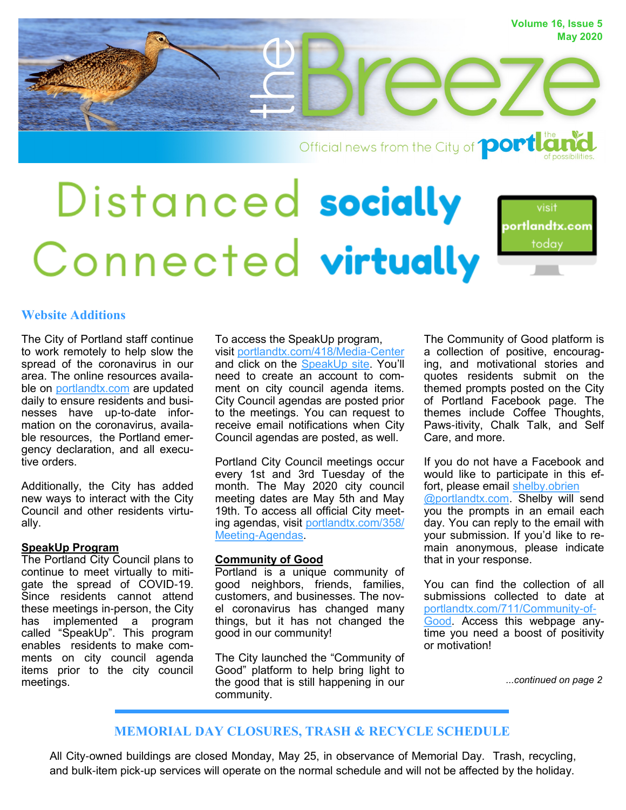

Official news from the City of **port late** 

# Distanced socially portlandtx.com today Connected virtually

## **Website Additions**

The City of Portland staff continue to work remotely to help slow the spread of the coronavirus in our area. The online resources available on <portlandtx.com> are updated daily to ensure residents and businesses have up-to-date information on the coronavirus, available resources, the Portland emergency declaration, and all executive orders.

Additionally, the City has added new ways to interact with the City Council and other residents virtually.

#### **SpeakUp Program**

The Portland City Council plans to continue to meet virtually to mitigate the spread of COVID-19. Since residents cannot attend these meetings in-person, the City has implemented a program called "SpeakUp". This program enables residents to make comments on city council agenda items prior to the city council meetings.

To access the SpeakUp program, visit [portlandtx.com/418/Media-Center](https://www.portlandtx.com/418/Media-Center) and click on the SpeakUp site. You'll need to create an account to comment on city council agenda items. City Council agendas are posted prior to the meetings. You can request to receive email notifications when City Council agendas are posted, as well.

Portland City Council meetings occur every 1st and 3rd Tuesday of the month. The May 2020 city council meeting dates are May 5th and May 19th. To access all official City meeting agendas, visit [portlandtx.com/358/](https://www.portlandtx.com/358/Meeting-Agendas) [Meeting-Agendas.](https://www.portlandtx.com/358/Meeting-Agendas)

#### **Community of Good**

Portland is a unique community of good neighbors, friends, families, customers, and businesses. The novel coronavirus has changed many things, but it has not changed the good in our community!

The City launched the "Community of Good" platform to help bring light to the good that is still happening in our community.

The Community of Good platform is a collection of positive, encouraging, and motivational stories and quotes residents submit on the themed prompts posted on the City of Portland Facebook page. The themes include Coffee Thoughts, Paws-itivity, Chalk Talk, and Self Care, and more.

If you do not have a Facebook and would like to participate in this effort, please email shelby.obrien @portlandtx.com. Shelby will send you the prompts in an email each day. You can reply to the email with your submission. If you'd like to remain anonymous, please indicate that in your response.

You can find the collection of all submissions collected to date at [portlandtx.com/711/Community-of-](https://www.portlandtx.com/711/Community-of-Good)[Good.](https://www.portlandtx.com/711/Community-of-Good) Access this webpage anytime you need a boost of positivity or motivation!

*...continued on page 2*

### **MEMORIAL DAY CLOSURES, TRASH & RECYCLE SCHEDULE**

All City-owned buildings are closed Monday, May 25, in observance of Memorial Day. Trash, recycling, and bulk-item pick-up services will operate on the normal schedule and will not be affected by the holiday.